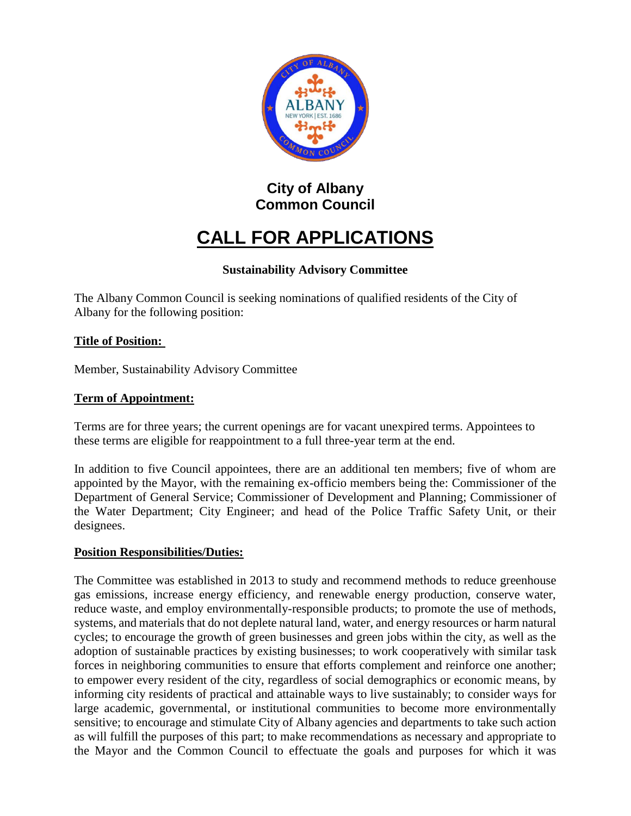

# **City of Albany Common Council**

# **CALL FOR APPLICATIONS**

# **Sustainability Advisory Committee**

The Albany Common Council is seeking nominations of qualified residents of the City of Albany for the following position:

## **Title of Position:**

Member, Sustainability Advisory Committee

## **Term of Appointment:**

Terms are for three years; the current openings are for vacant unexpired terms. Appointees to these terms are eligible for reappointment to a full three-year term at the end.

In addition to five Council appointees, there are an additional ten members; five of whom are appointed by the Mayor, with the remaining ex-officio members being the: Commissioner of the Department of General Service; Commissioner of Development and Planning; Commissioner of the Water Department; City Engineer; and head of the Police Traffic Safety Unit, or their designees.

#### **Position Responsibilities/Duties:**

The Committee was established in 2013 to study and recommend methods to reduce greenhouse gas emissions, increase energy efficiency, and renewable energy production, conserve water, reduce waste, and employ environmentally-responsible products; to promote the use of methods, systems, and materials that do not deplete natural land, water, and energy resources or harm natural cycles; to encourage the growth of green businesses and green jobs within the city, as well as the adoption of sustainable practices by existing businesses; to work cooperatively with similar task forces in neighboring communities to ensure that efforts complement and reinforce one another; to empower every resident of the city, regardless of social demographics or economic means, by informing city residents of practical and attainable ways to live sustainably; to consider ways for large academic, governmental, or institutional communities to become more environmentally sensitive; to encourage and stimulate City of Albany agencies and departments to take such action as will fulfill the purposes of this part; to make recommendations as necessary and appropriate to the Mayor and the Common Council to effectuate the goals and purposes for which it was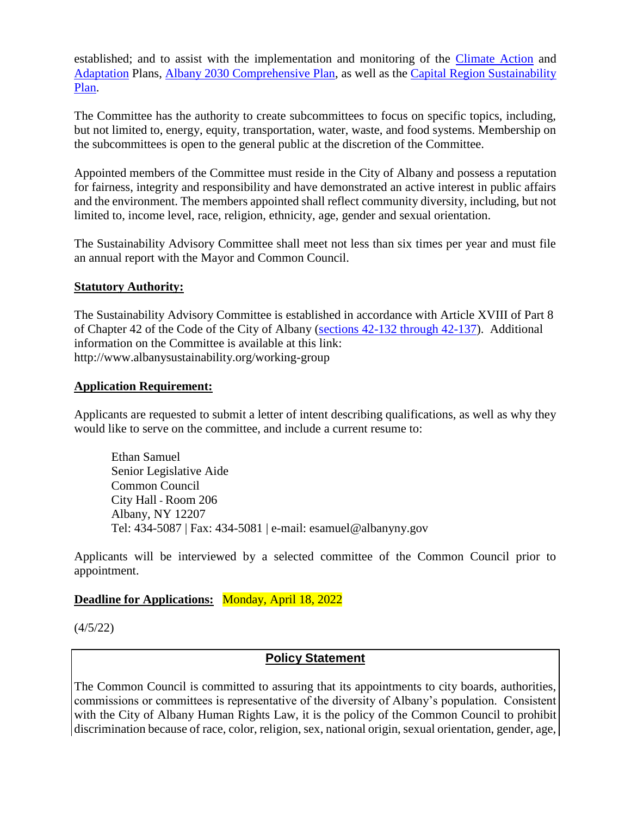established; and to assist with the implementation and monitoring of the [Climate Action](http://www.albany2030.org/sites/default/files/Appendix%20D_Climate%20Action%20Plan.pdf) and [Adaptation](http://www.albany2030.org/files/Albany%20Vulnerability%20Assessment%20%26%20Adaptation%20Plan.pdf) Plans, [Albany 2030 Comprehensive Plan,](http://www.albany2030.org/general/final-plan) as well as the [Capital Region Sustainability](http://sustainablecapitalregion.org/full-report)  [Plan.](http://sustainablecapitalregion.org/full-report)

The Committee has the authority to create subcommittees to focus on specific topics, including, but not limited to, energy, equity, transportation, water, waste, and food systems. Membership on the subcommittees is open to the general public at the discretion of the Committee.

Appointed members of the Committee must reside in the City of Albany and possess a reputation for fairness, integrity and responsibility and have demonstrated an active interest in public affairs and the environment. The members appointed shall reflect community diversity, including, but not limited to, income level, race, religion, ethnicity, age, gender and sexual orientation.

The Sustainability Advisory Committee shall meet not less than six times per year and must file an annual report with the Mayor and Common Council.

#### **Statutory Authority:**

The Sustainability Advisory Committee is established in accordance with Article XVIII of Part 8 of Chapter 42 of the Code of the City of Albany [\(sections 42-132 through 42-137\)](http://www.ecode360.com/7679515?highlight=sustainability#7679515). Additional information on the Committee is available at this link: http://www.albanysustainability.org/working-group

#### **Application Requirement:**

Applicants are requested to submit a letter of intent describing qualifications, as well as why they would like to serve on the committee, and include a current resume to:

Ethan Samuel Senior Legislative Aide Common Council City Hall - Room 206 Albany, NY 12207 Tel: 434-5087 | Fax: 434-5081 | e-mail: esamuel@albanyny.gov

Applicants will be interviewed by a selected committee of the Common Council prior to appointment.

#### **Deadline for Applications:** Monday, April 18, 2022

(4/5/22)

# **Policy Statement**

The Common Council is committed to assuring that its appointments to city boards, authorities, commissions or committees is representative of the diversity of Albany's population. Consistent with the City of Albany Human Rights Law, it is the policy of the Common Council to prohibit discrimination because of race, color, religion, sex, national origin, sexual orientation, gender, age,